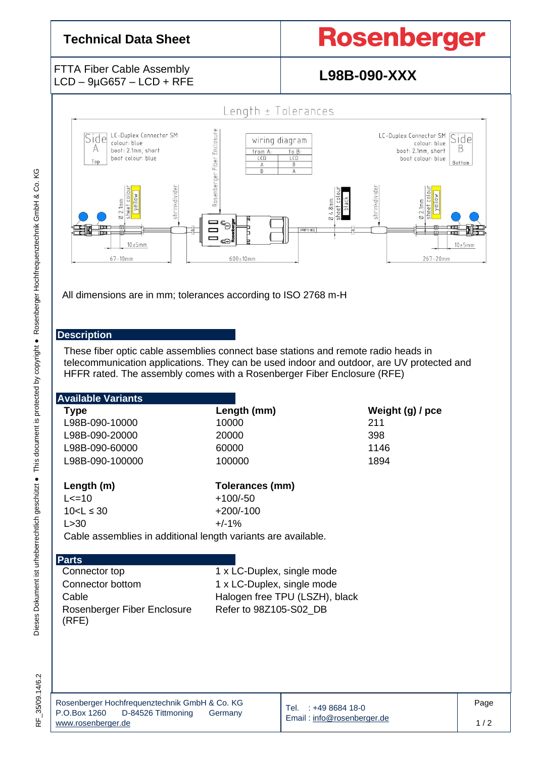## **Technical Data Sheet**

# **Rosenberger**

### FTTA Fiber Cable Assembly LCD – 9µG657 – LCD + RFE **L98B-090-XXX**



All dimensions are in mm; tolerances according to ISO 2768 m-H

### **Description**

These fiber optic cable assemblies connect base stations and remote radio heads in telecommunication applications. They can be used indoor and outdoor, are UV protected and HFFR rated. The assembly comes with a Rosenberger Fiber Enclosure (RFE)

| <b>Available Variants</b>                                     |                                |                                    |                  |      |  |
|---------------------------------------------------------------|--------------------------------|------------------------------------|------------------|------|--|
| <b>Type</b>                                                   | Length (mm)                    |                                    | Weight (g) / pce |      |  |
| L98B-090-10000                                                | 10000                          |                                    | 211              |      |  |
| L98B-090-20000                                                | 20000                          |                                    | 398              |      |  |
| L98B-090-60000                                                | 60000                          |                                    | 1146             |      |  |
| L98B-090-100000                                               | 100000                         |                                    | 1894             |      |  |
| Length (m)                                                    | Tolerances (mm)                |                                    |                  |      |  |
| $L < = 10$                                                    | $+100/-50$                     |                                    |                  |      |  |
| $10 < L \leq 30$                                              | $+200/-100$                    |                                    |                  |      |  |
| L > 30                                                        | $+/-1%$                        |                                    |                  |      |  |
| Cable assemblies in additional length variants are available. |                                |                                    |                  |      |  |
|                                                               |                                |                                    |                  |      |  |
| <b>Parts</b>                                                  |                                |                                    |                  |      |  |
| Connector top                                                 | 1 x LC-Duplex, single mode     |                                    |                  |      |  |
| Connector bottom                                              | 1 x LC-Duplex, single mode     |                                    |                  |      |  |
| Cable                                                         | Halogen free TPU (LSZH), black |                                    |                  |      |  |
| Rosenberger Fiber Enclosure<br>(RFE)                          | Refer to 98Z105-S02_DB         |                                    |                  |      |  |
|                                                               |                                |                                    |                  |      |  |
|                                                               |                                |                                    |                  |      |  |
|                                                               |                                |                                    |                  |      |  |
|                                                               |                                |                                    |                  |      |  |
| Rosenberger Hochfrequenztechnik GmbH & Co. KG                 |                                | Tal <b>Tal</b><br>$0.410$ Read 18. |                  | Page |  |